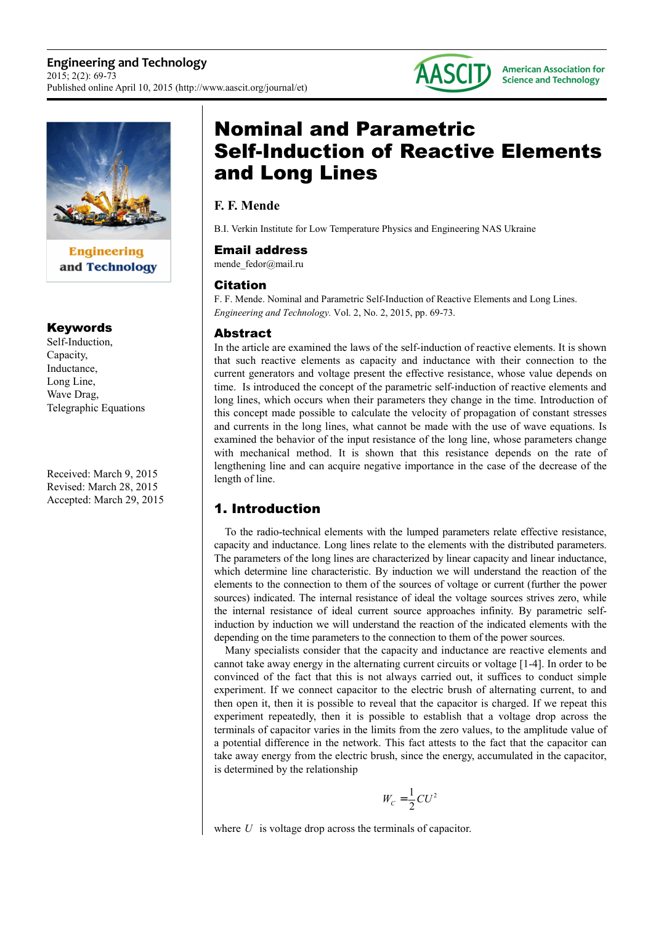

**Engineering** and Technology

#### Keywords

Self-Induction, Capacity, Inductance, Long Line, Wave Drag, Telegraphic Equations

Received: March 9, 2015 Revised: March 28, 2015 Accepted: March 29, 2015

# Nominal and Parametric Self-Induction of Reactive Elements and Long Lines

**AASCITI** 

## **F. F. Mende**

B.I. Verkin Institute for Low Temperature Physics and Engineering NAS Ukraine

#### Email address

mende fedor@mail.ru

#### **Citation**

F. F. Mende. Nominal and Parametric Self-Induction of Reactive Elements and Long Lines. *Engineering and Technology.* Vol. 2, No. 2, 2015, pp. 69-73.

#### Abstract

In the article are examined the laws of the self-induction of reactive elements. It is shown that such reactive elements as capacity and inductance with their connection to the current generators and voltage present the effective resistance, whose value depends on time. Is introduced the concept of the parametric self-induction of reactive elements and long lines, which occurs when their parameters they change in the time. Introduction of this concept made possible to calculate the velocity of propagation of constant stresses and currents in the long lines, what cannot be made with the use of wave equations. Is examined the behavior of the input resistance of the long line, whose parameters change with mechanical method. It is shown that this resistance depends on the rate of lengthening line and can acquire negative importance in the case of the decrease of the length of line.

# 1. Introduction

To the radio-technical elements with the lumped parameters relate effective resistance, capacity and inductance. Long lines relate to the elements with the distributed parameters. The parameters of the long lines are characterized by linear capacity and linear inductance, which determine line characteristic. By induction we will understand the reaction of the elements to the connection to them of the sources of voltage or current (further the power sources) indicated. The internal resistance of ideal the voltage sources strives zero, while the internal resistance of ideal current source approaches infinity. By parametric selfinduction by induction we will understand the reaction of the indicated elements with the depending on the time parameters to the connection to them of the power sources.

Many specialists consider that the capacity and inductance are reactive elements and cannot take away energy in the alternating current circuits or voltage [1-4]. In order to be convinced of the fact that this is not always carried out, it suffices to conduct simple experiment. If we connect capacitor to the electric brush of alternating current, to and then open it, then it is possible to reveal that the capacitor is charged. If we repeat this experiment repeatedly, then it is possible to establish that a voltage drop across the terminals of capacitor varies in the limits from the zero values, to the amplitude value of a potential difference in the network. This fact attests to the fact that the capacitor can take away energy from the electric brush, since the energy, accumulated in the capacitor, is determined by the relationship

$$
W_C = \frac{1}{2}CU^2
$$

where *U* is voltage drop across the terminals of capacitor.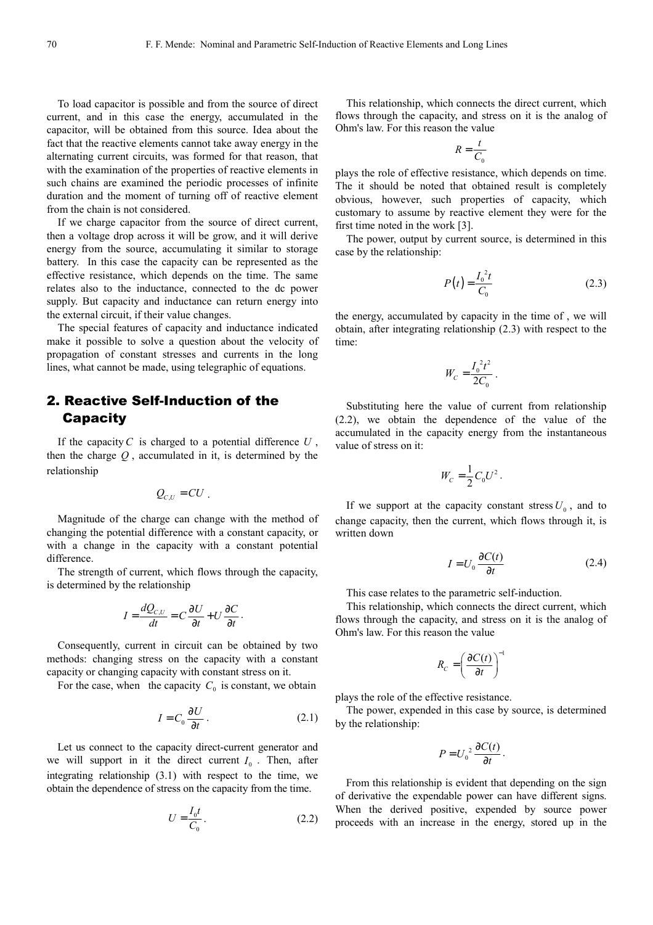To load capacitor is possible and from the source of direct current, and in this case the energy, accumulated in the capacitor, will be obtained from this source. Idea about the fact that the reactive elements cannot take away energy in the alternating current circuits, was formed for that reason, that with the examination of the properties of reactive elements in such chains are examined the periodic processes of infinite duration and the moment of turning off of reactive element from the chain is not considered.

If we charge capacitor from the source of direct current, then a voltage drop across it will be grow, and it will derive energy from the source, accumulating it similar to storage battery. In this case the capacity can be represented as the effective resistance, which depends on the time. The same relates also to the inductance, connected to the dc power supply. But capacity and inductance can return energy into the external circuit, if their value changes.

The special features of capacity and inductance indicated make it possible to solve a question about the velocity of propagation of constant stresses and currents in the long lines, what cannot be made, using telegraphic of equations.

# 2. Reactive Self-Induction of the **Capacity**

If the capacity*C* is charged to a potential difference *U* , then the charge *Q* , accumulated in it, is determined by the relationship

$$
Q_{c,U}=CU.
$$

Magnitude of the charge can change with the method of changing the potential difference with a constant capacity, or with a change in the capacity with a constant potential difference.

The strength of current, which flows through the capacity, is determined by the relationship

$$
I = \frac{dQ_{C,U}}{dt} = C\frac{\partial U}{\partial t} + U\frac{\partial C}{\partial t}
$$

Consequently, current in circuit can be obtained by two methods: changing stress on the capacity with a constant capacity or changing capacity with constant stress on it.

For the case, when the capacity  $C_0$  is constant, we obtain

$$
I = C_0 \frac{\partial U}{\partial t} \,. \tag{2.1}
$$

.

Let us connect to the capacity direct-current generator and we will support in it the direct current  $I_0$ . Then, after integrating relationship (3.1) with respect to the time, we obtain the dependence of stress on the capacity from the time.

$$
U = \frac{I_0 t}{C_0} \tag{2.2}
$$

This relationship, which connects the direct current, which flows through the capacity, and stress on it is the analog of Ohm's law. For this reason the value

$$
R = \frac{t}{C_0}
$$

plays the role of effective resistance, which depends on time. The it should be noted that obtained result is completely obvious, however, such properties of capacity, which customary to assume by reactive element they were for the first time noted in the work [3].

The power, output by current source, is determined in this case by the relationship:

$$
P(t) = \frac{I_0^2 t}{C_0}
$$
 (2.3)

the energy, accumulated by capacity in the time of , we will obtain, after integrating relationship (2.3) with respect to the time:

$$
W_C = \frac{I_0^2 t^2}{2C_0} \, .
$$

Substituting here the value of current from relationship (2.2), we obtain the dependence of the value of the accumulated in the capacity energy from the instantaneous value of stress on it:

$$
W_C=\frac{1}{2}C_0U^2.
$$

If we support at the capacity constant stress  $U_0$ , and to change capacity, then the current, which flows through it, is written down

$$
I = U_0 \frac{\partial C(t)}{\partial t} \tag{2.4}
$$

This case relates to the parametric self-induction.

This relationship, which connects the direct current, which flows through the capacity, and stress on it is the analog of Ohm's law. For this reason the value

$$
R_C = \left(\frac{\partial C(t)}{\partial t}\right)^{-1}
$$

plays the role of the effective resistance.

The power, expended in this case by source, is determined by the relationship:

$$
P = U_0^2 \frac{\partial C(t)}{\partial t}.
$$

From this relationship is evident that depending on the sign of derivative the expendable power can have different signs. When the derived positive, expended by source power proceeds with an increase in the energy, stored up in the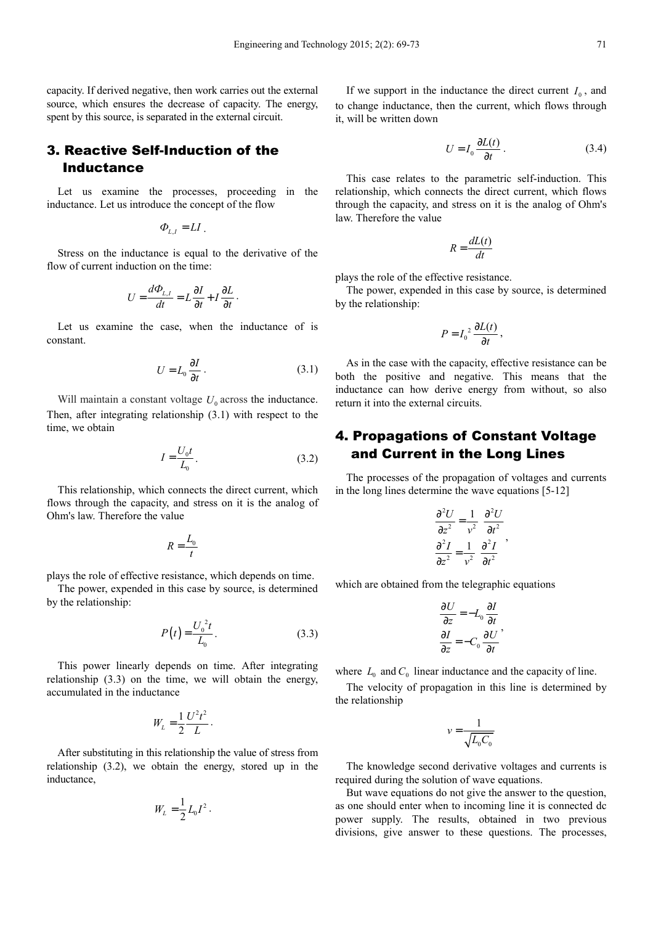capacity. If derived negative, then work carries out the external source, which ensures the decrease of capacity. The energy, spent by this source, is separated in the external circuit.

## 3. Reactive Self-Induction of the Inductance

Let us examine the processes, proceeding in the inductance. Let us introduce the concept of the flow

$$
\Phi_{L,I} = LI
$$

Stress on the inductance is equal to the derivative of the flow of current induction on the time:

$$
U = \frac{d\Phi_{L,I}}{dt} = L\frac{\partial I}{\partial t} + I\frac{\partial L}{\partial t}.
$$

Let us examine the case, when the inductance of is constant.

$$
U = L_0 \frac{\partial I}{\partial t} \,. \tag{3.1}
$$

.

Will maintain a constant voltage  $U_0$  across the inductance. Then, after integrating relationship (3.1) with respect to the time, we obtain

$$
I = \frac{U_0 t}{L_0}.
$$
\n
$$
(3.2)
$$

This relationship, which connects the direct current, which flows through the capacity, and stress on it is the analog of Ohm's law. Therefore the value

$$
R = \frac{L_0}{t}
$$

plays the role of effective resistance, which depends on time.

The power, expended in this case by source, is determined by the relationship:

$$
P(t) = \frac{U_0^2 t}{L_0}.
$$
 (3.3)

This power linearly depends on time. After integrating relationship (3.3) on the time, we will obtain the energy, accumulated in the inductance

$$
W_L = \frac{1}{2} \frac{U^2 t^2}{L}.
$$

After substituting in this relationship the value of stress from relationship (3.2), we obtain the energy, stored up in the inductance,

$$
W_{L} = \frac{1}{2} L_{0} I^{2}.
$$

If we support in the inductance the direct current  $I_0$ , and to change inductance, then the current, which flows through it, will be written down

$$
U = I_0 \frac{\partial L(t)}{\partial t} \,. \tag{3.4}
$$

This case relates to the parametric self-induction. This relationship, which connects the direct current, which flows through the capacity, and stress on it is the analog of Ohm's law. Therefore the value

$$
R = \frac{dL(t)}{dt}
$$

plays the role of the effective resistance.

The power, expended in this case by source, is determined by the relationship:

$$
P = I_0^2 \frac{\partial L(t)}{\partial t},
$$

As in the case with the capacity, effective resistance can be both the positive and negative. This means that the inductance can how derive energy from without, so also return it into the external circuits.

## 4. Propagations of Constant Voltage and Current in the Long Lines

The processes of the propagation of voltages and currents in the long lines determine the wave equations [5-12]

$$
\frac{\partial^2 U}{\partial z^2} = \frac{1}{v^2} \frac{\partial^2 U}{\partial t^2}
$$

$$
\frac{\partial^2 I}{\partial z^2} = \frac{1}{v^2} \frac{\partial^2 I}{\partial t^2}
$$

which are obtained from the telegraphic equations

$$
\frac{\partial U}{\partial z} = -L_0 \frac{\partial I}{\partial t}
$$

$$
\frac{\partial I}{\partial z} = -C_0 \frac{\partial U}{\partial t}
$$

,

where  $L_0$  and  $C_0$  linear inductance and the capacity of line.

The velocity of propagation in this line is determined by the relationship

$$
v = \frac{1}{\sqrt{L_0 C_0}}
$$

The knowledge second derivative voltages and currents is required during the solution of wave equations.

But wave equations do not give the answer to the question, as one should enter when to incoming line it is connected dc power supply. The results, obtained in two previous divisions, give answer to these questions. The processes,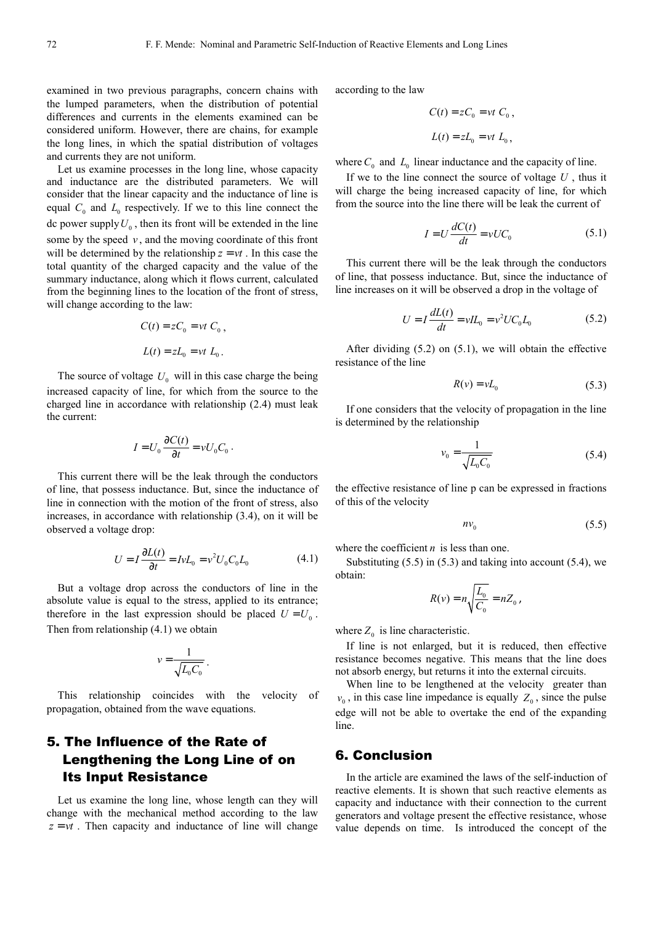examined in two previous paragraphs, concern chains with the lumped parameters, when the distribution of potential differences and currents in the elements examined can be considered uniform. However, there are chains, for example the long lines, in which the spatial distribution of voltages and currents they are not uniform.

Let us examine processes in the long line, whose capacity and inductance are the distributed parameters. We will consider that the linear capacity and the inductance of line is equal  $C_0$  and  $L_0$  respectively. If we to this line connect the dc power supply  $U_0$ , then its front will be extended in the line some by the speed  $v$ , and the moving coordinate of this front will be determined by the relationship  $z = vt$ . In this case the total quantity of the charged capacity and the value of the summary inductance, along which it flows current, calculated from the beginning lines to the location of the front of stress, will change according to the law:

$$
C(t) = zC_0 = vt C_0,
$$
  

$$
L(t) = zL_0 = vt L_0.
$$

The source of voltage  $U_0$  will in this case charge the being increased capacity of line, for which from the source to the charged line in accordance with relationship (2.4) must leak the current:

$$
I = U_0 \frac{\partial C(t)}{\partial t} = v U_0 C_0.
$$

This current there will be the leak through the conductors of line, that possess inductance. But, since the inductance of line in connection with the motion of the front of stress, also increases, in accordance with relationship (3.4), on it will be observed a voltage drop:

$$
U = I \frac{\partial L(t)}{\partial t} = IvL_0 = v^2 U_0 C_0 L_0 \tag{4.1}
$$

But a voltage drop across the conductors of line in the absolute value is equal to the stress, applied to its entrance; therefore in the last expression should be placed  $U = U_0$ . Then from relationship (4.1) we obtain

$$
v = \frac{1}{\sqrt{L_0 C_0}}.
$$

This relationship coincides with the velocity of propagation, obtained from the wave equations.

# 5. The Influence of the Rate of Lengthening the Long Line of on Its Input Resistance

Let us examine the long line, whose length can they will change with the mechanical method according to the law  $z = vt$ . Then capacity and inductance of line will change according to the law

$$
C(t) = zC_0 = vt C_0,
$$
  

$$
L(t) = zL_0 = vt L_0,
$$

where  $C_0$  and  $L_0$  linear inductance and the capacity of line.

If we to the line connect the source of voltage *U* , thus it will charge the being increased capacity of line, for which from the source into the line there will be leak the current of

$$
I = U \frac{dC(t)}{dt} = vUC_0 \tag{5.1}
$$

This current there will be the leak through the conductors of line, that possess inductance. But, since the inductance of line increases on it will be observed a drop in the voltage of

$$
U = I \frac{dL(t)}{dt} = vIL_0 = v^2 U C_0 L_0 \tag{5.2}
$$

After dividing (5.2) on (5.1), we will obtain the effective resistance of the line

$$
R(v) = vL_0 \tag{5.3}
$$

If one considers that the velocity of propagation in the line is determined by the relationship

$$
v_0 = \frac{1}{\sqrt{L_0 C_0}}\tag{5.4}
$$

the effective resistance of line p can be expressed in fractions of this of the velocity

$$
nv_0 \tag{5.5}
$$

where the coefficient *n* is less than one.

Substituting  $(5.5)$  in  $(5.3)$  and taking into account  $(5.4)$ , we obtain:

$$
R(v) = n \sqrt{\frac{L_0}{C_0}} = n Z_0,
$$

where  $Z_0$  is line characteristic.

If line is not enlarged, but it is reduced, then effective resistance becomes negative. This means that the line does not absorb energy, but returns it into the external circuits.

When line to be lengthened at the velocity greater than  $v_0$ , in this case line impedance is equally  $Z_0$ , since the pulse edge will not be able to overtake the end of the expanding line.

#### 6. Conclusion

In the article are examined the laws of the self-induction of reactive elements. It is shown that such reactive elements as capacity and inductance with their connection to the current generators and voltage present the effective resistance, whose value depends on time. Is introduced the concept of the